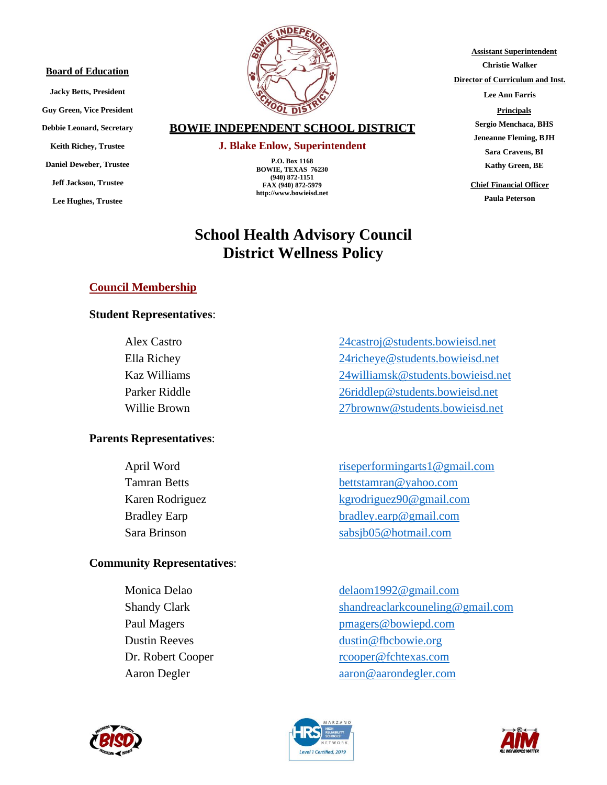#### **Board of Education**

**Jacky Betts, President Guy Green, Vice President Debbie Leonard, Secretary Keith Richey, Trustee Daniel Deweber, Trustee Jeff Jackson, Trustee Lee Hughes, Trustee**



## **BOWIE INDEPENDENT SCHOOL DISTRICT**

#### **J. Blake Enlow, Superintendent**

**P.O. Box 1168 BOWIE, TEXAS 76230 (940) 872-1151 FAX (940) 872-5979 http://www.bowieisd.net**

# **School Health Advisory Council District Wellness Policy**

**Director of Curriculum and Inst. Lee Ann Farris Principals Sergio Menchaca, BHS Jeneanne Fleming, BJH Sara Cravens, BI**

**Kathy Green, BE**

**Assistant Superintendent Christie Walker**

**Chief Financial Officer**

**Paula Peterson** 

# **Council Membership**

### **Student Representatives**:

## **Parents Representatives**:

## **Community Representatives**:

Alex Castro [24castroj@students.bowieisd.net](mailto:24castroj@students.bowieisd.net) Ella Richey [24richeye@students.bowieisd.net](mailto:24richeye@students.bowieisd.net) Kaz Williams [24williamsk@students.bowieisd.net](mailto:24williamsk@students.bowieisd.net) Parker Riddle [26riddlep@students.bowieisd.net](mailto:26riddlep@students.bowieisd.net) Willie Brown [27brownw@students.bowieisd.net](mailto:27brownw@students.bowieisd.net)

April Word riseperformingarts1@gmail.com Tamran Betts [bettstamran@yahoo.com](mailto:bettstamran@yahoo.com) Karen Rodriguez kgrodriguez<sup>90@gmail.com</sup> Bradley Earp [bradley.earp@gmail.com](mailto:bradley.earp@gmail.com) Sara Brinson [sabsjb05@hotmail.com](mailto:sabsjb05@hotmail.com)

Monica Delao [delaom1992@gmail.com](mailto:delaom1992@gmail.com) Shandy Clark [shandreaclarkcouneling@gmail.com](mailto:shandreaclarkcouneling@gmail.com) Paul Magers **[pmagers@bowiepd.com](mailto:pmagers@bowiepd.com)** Dustin Reeves dustin @fbcbowie.org Dr. Robert Cooper recooper@fchtexas.com Aaron Degler aaron @aarondegler.com